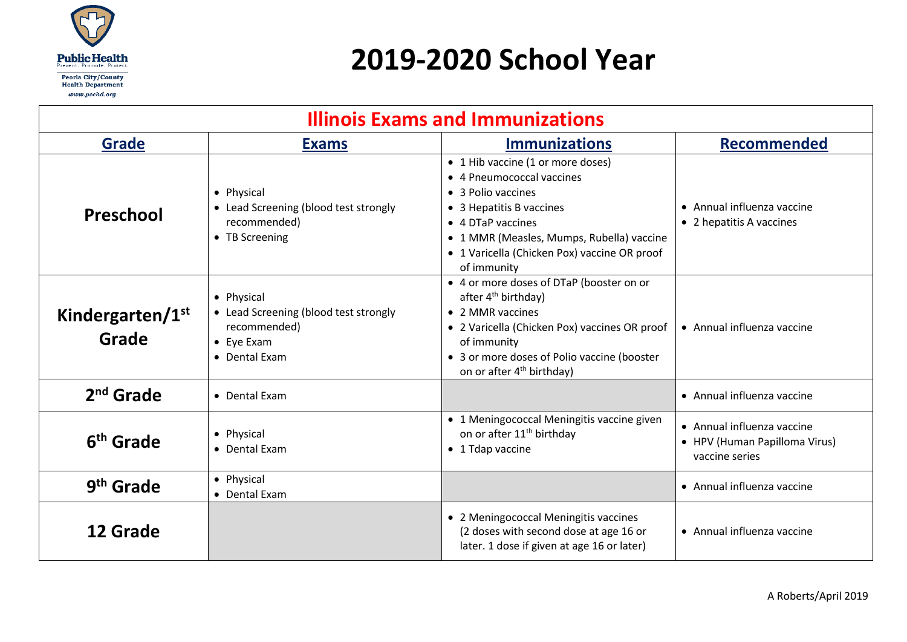

## **2019-2020 School Year**

| <b>Illinois Exams and Immunizations</b> |                                                                                                            |                                                                                                                                                                                                                                                         |                                                                               |  |
|-----------------------------------------|------------------------------------------------------------------------------------------------------------|---------------------------------------------------------------------------------------------------------------------------------------------------------------------------------------------------------------------------------------------------------|-------------------------------------------------------------------------------|--|
| Grade                                   | <b>Exams</b>                                                                                               | <b>Immunizations</b>                                                                                                                                                                                                                                    | <b>Recommended</b>                                                            |  |
| Preschool                               | • Physical<br>• Lead Screening (blood test strongly<br>recommended)<br>• TB Screening                      | • 1 Hib vaccine (1 or more doses)<br>• 4 Pneumococcal vaccines<br>• 3 Polio vaccines<br>• 3 Hepatitis B vaccines<br>• 4 DTaP vaccines<br>• 1 MMR (Measles, Mumps, Rubella) vaccine<br>• 1 Varicella (Chicken Pox) vaccine OR proof<br>of immunity       | • Annual influenza vaccine<br>• 2 hepatitis A vaccines                        |  |
| Kindergarten/1 <sup>st</sup><br>Grade   | • Physical<br>• Lead Screening (blood test strongly<br>recommended)<br>$\bullet$ Eye Exam<br>• Dental Exam | • 4 or more doses of DTaP (booster on or<br>after 4 <sup>th</sup> birthday)<br>• 2 MMR vaccines<br>• 2 Varicella (Chicken Pox) vaccines OR proof<br>of immunity<br>• 3 or more doses of Polio vaccine (booster<br>on or after 4 <sup>th</sup> birthday) | • Annual influenza vaccine                                                    |  |
| $2nd$ Grade                             | • Dental Exam                                                                                              |                                                                                                                                                                                                                                                         | • Annual influenza vaccine                                                    |  |
| 6 <sup>th</sup> Grade                   | • Physical<br>• Dental Exam                                                                                | • 1 Meningococcal Meningitis vaccine given<br>on or after 11 <sup>th</sup> birthday<br>• 1 Tdap vaccine                                                                                                                                                 | • Annual influenza vaccine<br>• HPV (Human Papilloma Virus)<br>vaccine series |  |
| 9 <sup>th</sup> Grade                   | • Physical<br>• Dental Exam                                                                                |                                                                                                                                                                                                                                                         | • Annual influenza vaccine                                                    |  |
| 12 Grade                                |                                                                                                            | • 2 Meningococcal Meningitis vaccines<br>(2 doses with second dose at age 16 or<br>later. 1 dose if given at age 16 or later)                                                                                                                           | • Annual influenza vaccine                                                    |  |